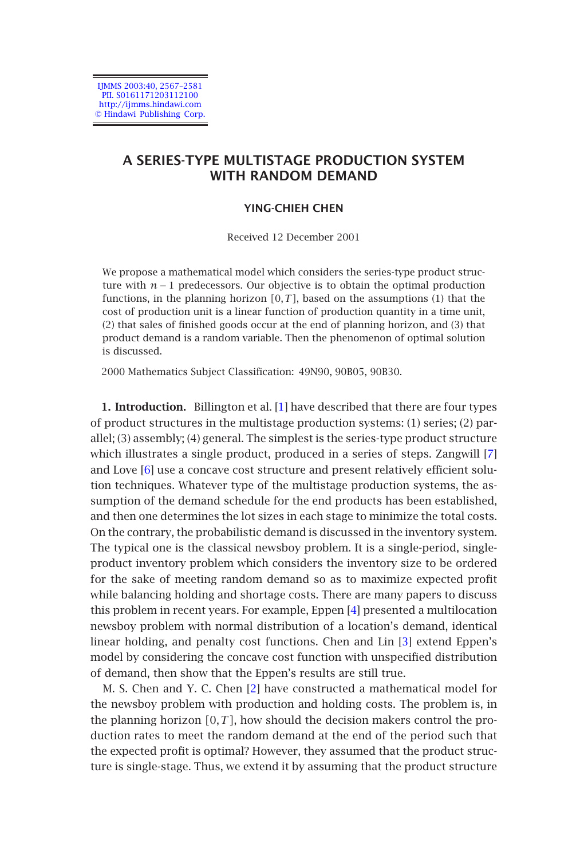IJMMS 2003:40, 2567–2581 PII. S0161171203112100 http://ijmms.hindawi.com © Hindawi Publishing Corp.

# **A SERIES-TYPE MULTISTAGE PRODUCTION SYSTEM WITH RANDOM DEMAND**

## **YING-CHIEH CHEN**

Received 12 December 2001

We propose a mathematical model w[hic](#page-13-0)h considers the series-type product structure with  $n - 1$  predecessors. Our objective is to obtain the optimal production functions, in the planning horizon *[*0*,T]*, based on the assumptions (1) that the cost of production unit is a linear function of production quantity in a time unit, (2) that sales of finished goods occur at the end of planning horizon, and (3) that product [de](#page-14-0)mand is a random variable. Then the phenomenon of optimal solution is discussed.

2000 Mathematics Subject Classification: 49N90, 90B05, 90B30.

**1. Introduction.** Billington et al. [1] have described that there are four types of product structures in the multistage production systems: (1) series; (2) parallel; (3) assembly; (4) general. The simplest is the series-type product structure which illustrates a single product, produced in a series of steps. Zangwill [7] and Love [6] use a concave cost structure and pr[ese](#page-14-1)nt relatively efficient solution techniques. Whatever type of the multistage production systems, the assumption of the demand schedule for the end products ha[s b](#page-14-2)een established, and then one determines the lot sizes in each stage to minimize the total costs. On the contrary, the probabilistic demand is discussed in the inventory system. The typical one is the classica[l n](#page-14-3)ewsboy problem. It is a single-period, singleproduct inventory problem which considers the inventory size to be ordered for the sake of meeting random demand so as to maximize expected profit while balancing holding and shortage costs. There are many papers to discuss this problem in recent years. For example, Eppen [4] presented a multilocation newsboy problem with normal distribution of a location's demand, identical linear holding, and penalty cost functions. Chen and Lin [3] extend Eppen's model by considering the concave cost function with unspecified distribution of demand, then show that the Eppen's results are still true.

M. S. Chen and Y. C. Chen [2] have constructed a mathematical model for the newsboy problem with production and holding costs. The problem is, in the planning horizon *[*0*,T]*, how should the decision makers control the production rates to meet the random demand at the end of the period such that the expected profit is optimal? However, they assumed that the product structure is single-stage. Thus, we extend it by assuming that the product structure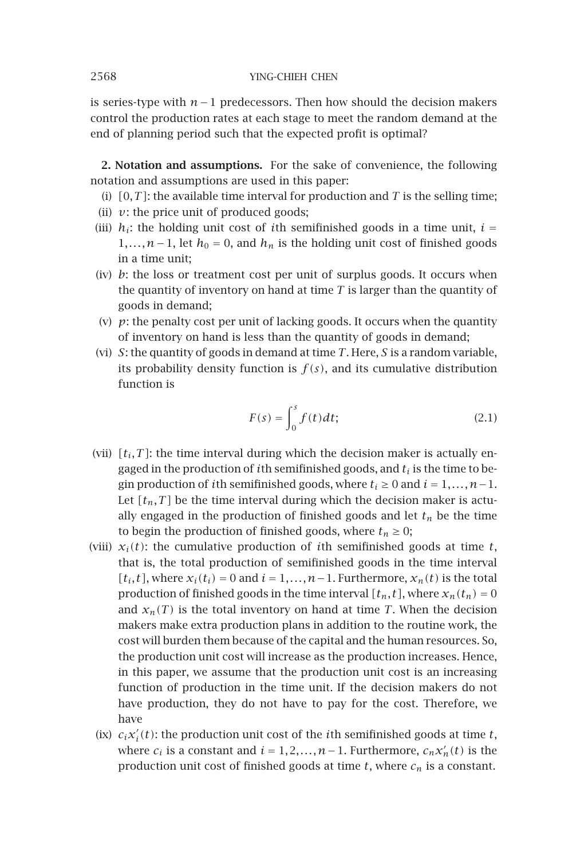is series-type with *n*−1 predecessors. Then how should the decision makers control the production rates at each stage to meet the random demand at the end of planning period such that the expected profit is optimal?

**2. Notation and assumptions.** For the sake of convenience, the following notation and assumptions are used in this paper:

- (i)  $[0, T]$ : the available time interval for production and *T* is the selling time;
- (ii)  $v$ : the price unit of produced goods;
- (iii)  $h_i$ : the holding unit cost of *i*th semifinished goods in a time unit,  $i =$ 1,..., *n*−1, let *h*<sub>0</sub> = 0, and *h<sub>n</sub>* is the holding unit cost of finished goods in a time unit;
- (iv) *b*: the loss or treatment cost per unit of surplus goods. It occurs when the quantity of inventory on hand at time *T* is larger than the quantity of goods in demand;
- (v)  $p$ : the penalty cost per unit of lacking goods. It occurs when the quantity of inventory on hand is less than the quantity of goods in demand;
- (vi) *S*: the quantity of goods in demand at time *T*. Here, *S* is a random variable, its probability density function is  $f(s)$ , and its cumulative distribution function is

$$
F(s) = \int_0^s f(t)dt;
$$
\n(2.1)

- (vii)  $[t_i, T]$ : the time interval during which the decision maker is actually engaged in the production of *i*th semifinished goods, and *ti* is the time to begin production of *i*th semifinished goods, where  $t_i \geq 0$  and  $i = 1, \ldots, n-1$ . Let  $[t_n, T]$  be the time interval during which the decision maker is actually engaged in the production of finished goods and let  $t_n$  be the time to begin the production of finished goods, where  $t_n \geq 0$ ;
- (viii)  $x_i(t)$ : the cumulative production of *i*th semifinished goods at time *t*, that is, the total production of semifinished goods in the time interval  $[t_i, t]$ , where  $x_i(t_i) = 0$  and  $i = 1, \ldots, n-1$ . Furthermore,  $x_n(t)$  is the total production of finished goods in the time interval  $[t_n, t]$ , where  $x_n(t_n) = 0$ and  $x_n(T)$  is the total inventory on hand at time *T*. When the decision makers make extra production plans in addition to the routine work, the cost will burden them because of the capital and the human resources. So, the production unit cost will increase as the production increases. Hence, in this paper, we assume that the production unit cost is an increasing function of production in the time unit. If the decision makers do not have production, they do not have to pay for the cost. Therefore, we have
	- (ix)  $c_i x'_i(t)$ : the production unit cost of the *i*<sup>th</sup> semifinished goods at time *t*, where  $c_i$  is a constant and  $i = 1, 2, ..., n-1$ . Furthermore,  $c_n x'_n(t)$  is the production unit cost of finished goods at time  $t$ , where  $c_n$  is a constant.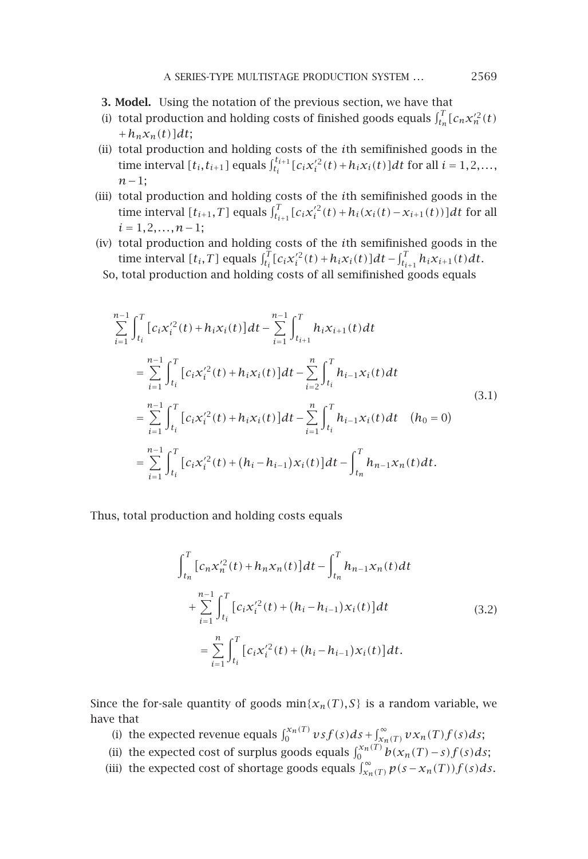- **3. Model.** Using the notation of the previous section, we have that
- (i) total production and holding costs of finished goods equals  $\int_{t_n}^{T} [c_n x_n'^2(t)]$  $+h_n x_n(t)$ ]dt;
- (ii) total production and holding costs of the *i*th semifinished goods in the time interval  $[t_i, t_{i+1}]$  equals  $\int_{t_i}^{t_{i+1}} [c_i x_i'^2(t) + h_i x_i(t)] dt$  for all  $i = 1, 2, ...,$ *n*−1;
- (iii) total production and holding costs of the *i*th semifinished goods in the time interval  $[t_{i+1}, T]$  equals  $\int_{t_{i+1}}^{T} [c_i x_i'^2(t) + h_i(x_i(t) - x_{i+1}(t))]dt$  for all *i* = 1*,*2*,...,n*−1;
- (iv) total production and holding costs of the *i*th semifinished goods in the  $\lim_{t \to \infty} \int_{t}^{T} [c_i x_i'^2(t) + h_i x_i(t)] dt - \int_{t_{i+1}}^{T} h_i x_{i+1}(t) dt.$

So, total production and holding costs of all semifinished goods equals

$$
\sum_{i=1}^{n-1} \int_{t_i}^{T} [c_i x_i'^2(t) + h_i x_i(t)] dt - \sum_{i=1}^{n-1} \int_{t_{i+1}}^{T} h_i x_{i+1}(t) dt
$$
\n
$$
= \sum_{i=1}^{n-1} \int_{t_i}^{T} [c_i x_i'^2(t) + h_i x_i(t)] dt - \sum_{i=2}^{n} \int_{t_i}^{T} h_{i-1} x_i(t) dt
$$
\n
$$
= \sum_{i=1}^{n-1} \int_{t_i}^{T} [c_i x_i'^2(t) + h_i x_i(t)] dt - \sum_{i=1}^{n} \int_{t_i}^{T} h_{i-1} x_i(t) dt \quad (h_0 = 0)
$$
\n
$$
= \sum_{i=1}^{n-1} \int_{t_i}^{T} [c_i x_i'^2(t) + (h_i - h_{i-1}) x_i(t)] dt - \int_{t_n}^{T} h_{n-1} x_n(t) dt.
$$
\n(3.1)

Thus, total production and holding costs equals

$$
\int_{t_n}^{T} [c_n x_n'^2(t) + h_n x_n(t)] dt - \int_{t_n}^{T} h_{n-1} x_n(t) dt
$$
  
+ 
$$
\sum_{i=1}^{n-1} \int_{t_i}^{T} [c_i x_i'^2(t) + (h_i - h_{i-1}) x_i(t)] dt
$$
  
= 
$$
\sum_{i=1}^{n} \int_{t_i}^{T} [c_i x_i'^2(t) + (h_i - h_{i-1}) x_i(t)] dt.
$$
 (3.2)

Since the for-sale quantity of goods  $min{x_n(T),S}$  is a random variable, we have that

- (i) the expected revenue equals  $\int_0^{x_n(T)} v s f(s) ds + \int_{x_n(T)}^{\infty} v x_n(T) f(s) ds;$
- (ii) the expected cost of surplus goods equals  $\int_0^{x_n(T)} b(x_n(T) s) f(s) ds;$
- (iii) the expected cost of shortage goods equals  $\int_{x_n(T)}^{\infty} p(s x_n(T)) f(s) ds$ .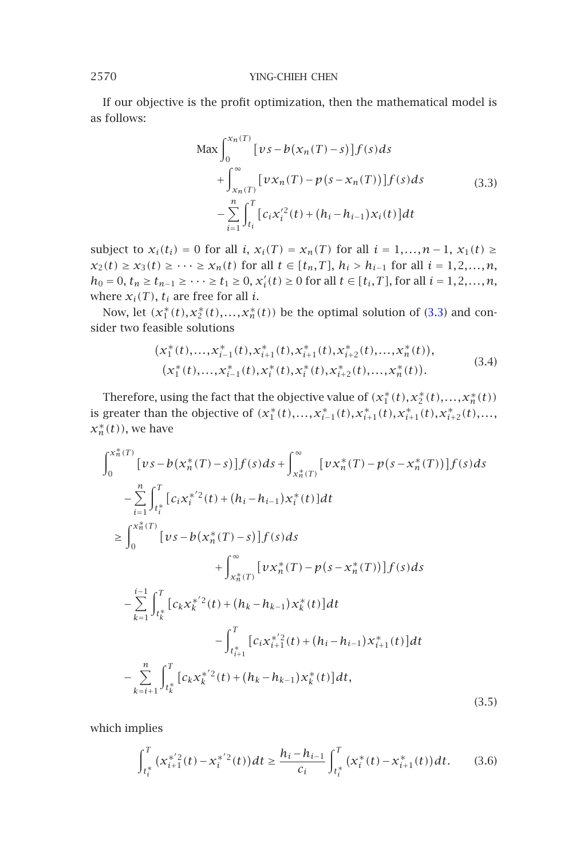If our objective is the profit optimization, then the mathematical model is as follows:

$$
\begin{split} \text{Max} & \int_{0}^{x_n(T)} \left[ \nu s - b(x_n(T) - s) \right] f(s) ds \\ &+ \int_{x_n(T)}^{\infty} \left[ \nu x_n(T) - p(s - x_n(T)) \right] f(s) ds \\ &- \sum_{i=1}^{n} \int_{t_i}^{T} \left[ c_i x_i'^2(t) + (h_i - h_{i-1}) x_i(t) \right] dt \end{split} \tag{3.3}
$$

subject to *x<sub>i</sub>*(*t<sub>i</sub>*) = 0 for all *i*, *x<sub>i</sub>*(*T*) = *x<sub>n</sub>*(*T*) for all *i* = 1*,...,n* − 1*, x*<sub>1</sub>(*t*) ≥ *x*<sub>2</sub>(*t*) ≥ *x*<sub>3</sub>(*t*) ≥ ··· ≥ *x*<sub>*n*</sub>(*t*) for all *t* ∈ *[t<sub>n</sub>,T*], *h<sub>i</sub>* > *h*<sub>*i*-1</sub> for all *i* = 1,2*,...,n*, *h*<sub>0</sub> = 0, *t<sub>n</sub>* ≥ *t*<sub>*n*−1</sub> ≥ ··· ≥ *t*<sub>1</sub> ≥ 0,  $x'_{i}(t)$  ≥ 0 for all *t* ∈ [*t<sub>i</sub>*, *T*], for all *i* = 1, 2, ..., *n*, where  $x_i(T)$ ,  $t_i$  are free for all *i*.

Now, let  $(x_1^*(t), x_2^*(t),...,x_n^*(t))$  be the optimal solution of (3.3) and consider two feasible solutions

$$
(x_1^*(t),...,x_{i-1}^*(t),x_{i+1}^*(t),x_{i+1}^*(t),x_{i+2}^*(t),...,x_n^*(t)),
$$
  
\n
$$
(x_1^*(t),...,x_{i-1}^*(t),x_i^*(t),x_i^*(t),x_{i+2}^*(t),...,x_n^*(t)).
$$
\n(3.4)

Therefore, using the fact that the objective value of  $(x_1^*(t), x_2^*(t), ..., x_n^*(t))$ is greater than the objective of  $(x_1^*(t),...,x_{i-1}^*(t),x_{i+1}^*(t),x_{i+1}^*(t),x_{i+2}^*(t),...,$  $x_n^*(t)$ , we have

<span id="page-3-0"></span>
$$
\int_{0}^{x_{n}^{*}(T)} [vs - b(x_{n}^{*}(T) - s)]f(s)ds + \int_{x_{n}^{*}(T)}^{\infty} [vx_{n}^{*}(T) - p(s - x_{n}^{*}(T))]f(s)ds
$$
  
\n
$$
- \sum_{i=1}^{n} \int_{t_{i}^{*}}^{T} [c_{i}x_{i}^{*/2}(t) + (h_{i} - h_{i-1})x_{i}^{*}(t)]dt
$$
  
\n
$$
\geq \int_{0}^{x_{n}^{*}(T)} [vs - b(x_{n}^{*}(T) - s)]f(s)ds
$$
  
\n
$$
+ \int_{x_{n}^{*}(T)}^{\infty} [vx_{n}^{*}(T) - p(s - x_{n}^{*}(T))]f(s)ds
$$
  
\n
$$
- \sum_{k=1}^{i-1} \int_{t_{k}^{*}}^{T} [c_{k}x_{k}^{*/2}(t) + (h_{k} - h_{k-1})x_{k}^{*}(t)]dt
$$
  
\n
$$
- \int_{t_{i+1}^{*}}^{T} [c_{i}x_{i+1}^{*/2}(t) + (h_{i} - h_{i-1})x_{i+1}^{*}(t)]dt
$$
  
\n
$$
- \sum_{k=i+1}^{n} \int_{t_{k}^{*}}^{T} [c_{k}x_{k}^{*/2}(t) + (h_{k} - h_{k-1})x_{k}^{*}(t)]dt,
$$
\n(3.5)

which implies

$$
\int_{t_i^*}^T (x_{i+1}^{*2}(t) - x_i^{*2}(t))dt \ge \frac{h_i - h_{i-1}}{c_i} \int_{t_i^*}^T (x_i^*(t) - x_{i+1}^*(t))dt.
$$
 (3.6)

<span id="page-3-1"></span>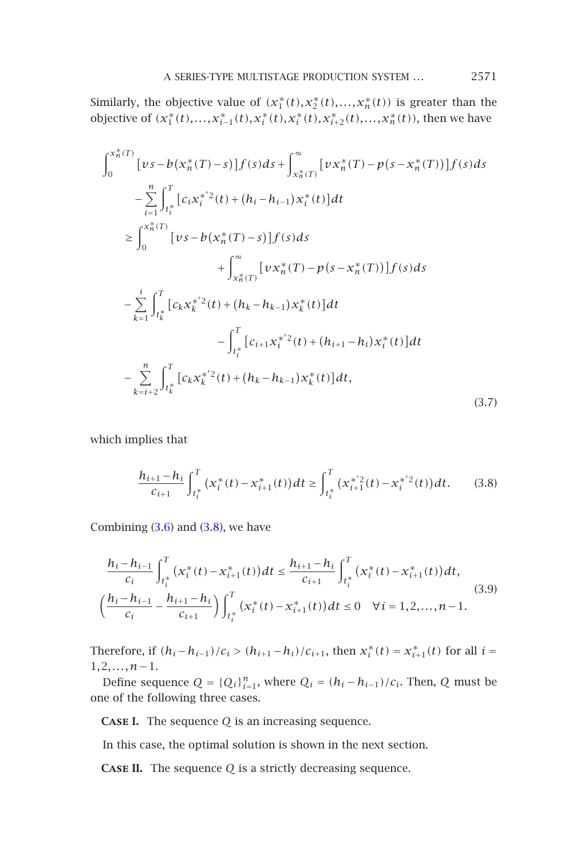#### A SERIES-TYPE MULTISTAGE PRODUCTION SYSTEM *...* 2571

Similarly, the objective value of  $(x_1^*(t), x_2^*(t),...,x_n^*(t))$  is greater than the objective of  $(x_1^*(t),...,x_{i-1}^*(t),x_i^*(t),x_i^*(t),x_{i+2}^*(t),...,x_n^*(t))$ , then we have

$$
\int_{0}^{x_{n}^{*}(T)} \left[ \nu s - b(x_{n}^{*}(T) - s) \right] f(s) ds + \int_{x_{n}^{*}(T)}^{\infty} \left[ \nu x_{n}^{*}(T) - p(s - x_{n}^{*}(T)) \right] f(s) ds
$$
\n
$$
- \sum_{i=1}^{n} \int_{t_{i}^{*}}^{T} \left[ c_{i} x_{i}^{*/2}(t) + (h_{i} - h_{i-1}) x_{i}^{*}(t) \right] dt
$$
\n
$$
\geq \int_{0}^{x_{n}^{*}(T)} \left[ \nu s - b(x_{n}^{*}(T) - s) \right] f(s) ds
$$
\n
$$
+ \int_{x_{n}^{*}(T)}^{\infty} \left[ \nu x_{n}^{*}(T) - p(s - x_{n}^{*}(T)) \right] f(s) ds
$$
\n
$$
- \sum_{k=1}^{i} \int_{t_{k}^{*}}^{T} \left[ c_{k} x_{k}^{*/2}(t) + (h_{k} - h_{k-1}) x_{k}^{*}(t) \right] dt
$$
\n
$$
- \int_{t_{i}^{*}}^{T} \left[ c_{i+1} x_{i}^{*/2}(t) + (h_{i+1} - h_{i}) x_{i}^{*}(t) \right] dt
$$
\n
$$
- \sum_{k=i+2}^{n} \int_{t_{k}^{*}}^{T} \left[ c_{k} x_{k}^{*/2}(t) + (h_{k} - h_{k-1}) x_{k}^{*}(t) \right] dt,
$$
\n(3.7)

which implies that

<span id="page-4-0"></span>
$$
\frac{h_{i+1} - h_i}{c_{i+1}} \int_{t_i^*}^T \left( x_i^*(t) - x_{i+1}^*(t) \right) dt \ge \int_{t_i^*}^T \left( x_{i+1}^{*\prime 2}(t) - x_i^{*\prime 2}(t) \right) dt. \tag{3.8}
$$

<span id="page-4-1"></span>Combining  $(3.6)$  and  $(3.8)$ , we have

$$
\frac{h_{i}-h_{i-1}}{c_{i}}\int_{t_{i}^{*}}^{T}\left(x_{i}^{*}(t)-x_{i+1}^{*}(t)\right)dt \leq \frac{h_{i+1}-h_{i}}{c_{i+1}}\int_{t_{i}^{*}}^{T}\left(x_{i}^{*}(t)-x_{i+1}^{*}(t)\right)dt,
$$
\n
$$
\left(\frac{h_{i}-h_{i-1}}{c_{i}}-\frac{h_{i+1}-h_{i}}{c_{i+1}}\right)\int_{t_{i}^{*}}^{T}\left(x_{i}^{*}(t)-x_{i+1}^{*}(t)\right)dt \leq 0 \quad \forall i=1,2,\ldots,n-1.
$$
\n(3.9)

<span id="page-4-2"></span>Therefore, if  $(h_i - h_{i-1})/c_i > (h_{i+1} - h_i)/c_{i+1}$ , then  $x_i^*(t) = x_{i+1}^*(t)$  for all  $i =$ 1*,*2*,...,n*−1.

Define sequence  $Q = \{Q_i\}_{i=1}^n$ , where  $Q_i = (h_i - h_{i-1})/c_i$ . Then,  $Q$  must be one of the following three cases.

**Case I.** The sequence *Q* is an increasing sequence.

In this case, the optimal solution is shown in the next section.

**Case II.** The sequence *Q* is a strictly decreasing sequence.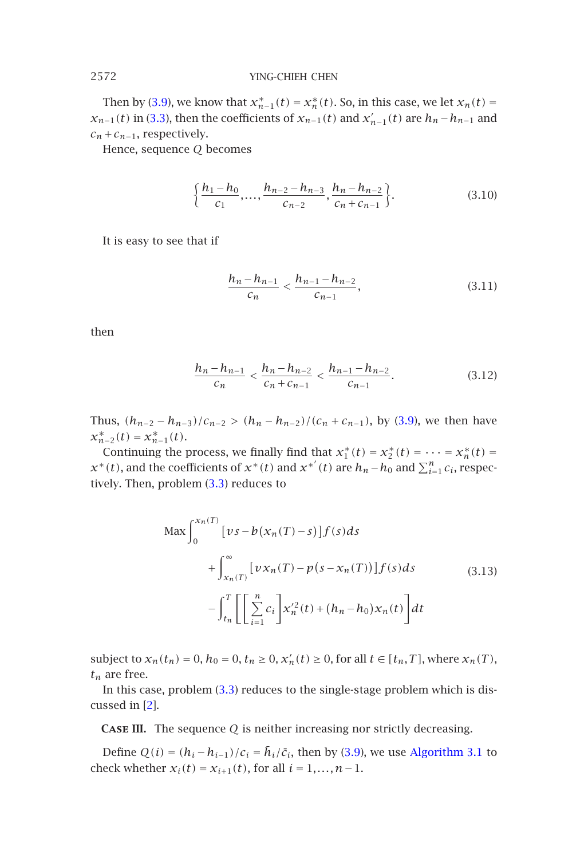Then by (3.9), we know that  $x_{n-1}^*(t) = x_n^*(t)$ . So, in this case, we let  $x_n(t) =$ *x*<sub>*n*−1</sub>(*t*) in (3.3), then the coefficients of *x*<sub>*n*−1</sub>(*t*) and *x*<sup>'</sup><sub>*n*−1</sub>(*t*) are *h<sub>n</sub>*−*h*<sub>*n*−1</sub> and  $c_n + c_{n-1}$ , respectively.

Hence, sequence *Q* becomes

$$
\left\{\frac{h_1 - h_0}{c_1}, \dots, \frac{h_{n-2} - h_{n-3}}{c_{n-2}}, \frac{h_n - h_{n-2}}{c_n + c_{n-1}}\right\}.
$$
 (3.10)

It is easy to see that if

$$
\frac{h_n - h_{n-1}}{c_n} < \frac{h_{n-1} - h_{n-2}}{c_{n-1}},\tag{3.11}
$$

then

$$
\frac{h_n - h_{n-1}}{c_n} < \frac{h_n - h_{n-2}}{c_n + c_{n-1}} < \frac{h_{n-1} - h_{n-2}}{c_{n-1}}.\tag{3.12}
$$

Thus,  $(h_{n-2} - h_{n-3})/c_{n-2} > (h_n - h_{n-2})/(c_n + c_{n-1})$ , by (3.9), we then have  $x_{n-2}^*(t) = x_{n-1}^*(t)$ .

Continuing the process, we finally find that  $x_1^*(t) = x_2^*(t) = \cdots = x_n^*(t) =$ *x*<sup>\*</sup>(*t*), and the coefficients of  $x^*(t)$  and  $x^{*'}(t)$  are  $h_n - h_0$  and  $\sum_{i=1}^n c_i$ , respectively. Then, problem (3.3) reduces to

$$
\begin{aligned}\n\text{Max} \int_0^{x_n(T)} \left[ \nu s - b(x_n(T) - s) \right] f(s) ds \\
+ \int_{x_n(T)}^{\infty} \left[ \nu x_n(T) - p(s - x_n(T)) \right] f(s) ds \\
- \int_{t_n}^T \left[ \sum_{i=1}^n c_i \right] x_n'^2(t) + (h_n - h_0) x_n(t) \right] dt\n\end{aligned} \tag{3.13}
$$

<span id="page-5-0"></span>subject to  $x_n(t_n) = 0$ ,  $h_0 = 0$ ,  $t_n \ge 0$ ,  $x'_n(t) \ge 0$ , for all  $t \in [t_n, T]$ , where  $x_n(T)$ ,  $t_n$  are free.

In this case, problem (3.3) reduces to the single-stage problem which is discussed in [2].

**Case III.** The sequence *Q* is neither increasing nor strictly decreasing.

Define  $Q(i) = (h_i - h_{i-1})/c_i = \bar{h}_i/\bar{c}_i$ , then by (3.9), we use Algorithm 3.1 to check whether  $x_i(t) = x_{i+1}(t)$ , for all  $i = 1, ..., n-1$ .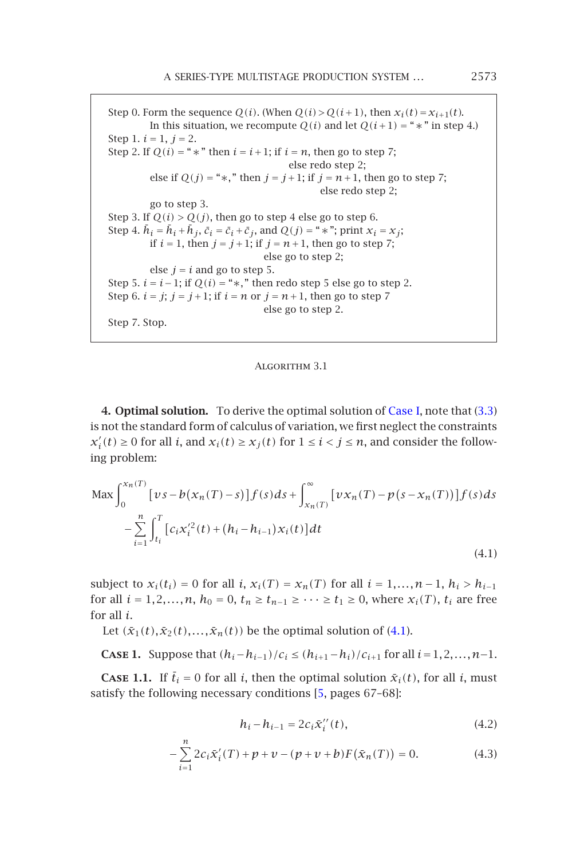A SERIES-TYPE MULTISTAGE PRODUCTION SYSTEM *...* 2573

Step 0. Form the sequence  $Q(i)$ . (When  $Q(i) > Q(i+1)$ , then  $x_i(t) = x_{i+1}(t)$ . In this situation, we recompute  $Q(i)$  and let  $Q(i+1) =$  " $*$ " in step 4.) Step 1.  $i = 1, j = 2$ . Step 2. If  $Q(i) =$  "  $*$  " then  $i = i + 1$ ; if  $i = n$ , then go to step 7; else redo step 2; else if  $Q(j) =$  "\*," then  $j = j + 1$ ; if  $j = n + 1$ , then go to step 7; else redo step 2; go to step 3. Step 3. If  $Q(i) > Q(j)$ , then go to step 4 else go to step 6. Step 4.  $\bar{h}_i = \bar{h}_i + \bar{h}_j$ ,  $\bar{c}_i = \bar{c}_i + \bar{c}_j$ , and  $Q(j) =$  "\*"; print  $x_i = x_j$ ; if *i* = 1, then *j* = *j* + 1; if *j* = *n* + 1, then go to step 7; else go to step 2; else  $j = i$  and go to step 5. S[tep](#page-4-1) 5.  $i = i - 1$ ; if  $Q(i) =$  "\*," then redo step 5 else go to step [2.](#page-4-1) Step 6.  $i = j$ ;  $j = j + 1$ ; if  $i = n$  or  $j = n + 1$ , then go to step 7 else go to step 2. Step 7. Stop.

<span id="page-6-1"></span><span id="page-6-0"></span>Algorithm 3.1

**4. Optimal solution.** To derive the optimal solution of Case I, note that (3.3) is not the standard form of calculus of variation, we first neglect the constraints  $x'_{i}(t) \ge 0$  for all *i*, and  $x_{i}(t) \ge x_{j}(t)$  for  $1 \le i < j \le n$ , and consider the following problem:

<span id="page-6-3"></span><span id="page-6-2"></span>
$$
\begin{split} \text{Max} \int_{0}^{x_n(T)} \left[ \nu s - b(x_n(T) - s) \right] f(s) ds + \int_{x_n(T)}^{\infty} \left[ \nu x_n(T) - p(s - x_n(T)) \right] f(s) ds \\ &- \sum_{i=1}^{n} \int_{t_i}^{T} \left[ c_i x_i'^2(t) + (h_i - h_{i-1}) x_i(t) \right] dt \end{split} \tag{4.1}
$$

subject to  $x_i(t_i) = 0$  for all *i*,  $x_i(T) = x_n(T)$  for all  $i = 1, ..., n-1$ ,  $h_i > h_{i-1}$ for all  $i = 1, 2, ..., n$ ,  $h_0 = 0$ ,  $t_n \ge t_{n-1} \ge ... \ge t_1 \ge 0$ , where  $x_i(T)$ ,  $t_i$  are free for all *i*.

Let  $(\bar{x}_1(t), \bar{x}_2(t),..., \bar{x}_n(t))$  be the optimal solution of (4.1).

**CASE 1.** Suppose that  $(h_i - h_{i-1})/c_i \leq (h_{i+1} - h_i)/c_{i+1}$  for all  $i = 1, 2, ..., n-1$ .

**CASE 1.1.** If  $\bar{t}_i = 0$  for all *i*, then the optimal solution  $\bar{x}_i(t)$ , for all *i*, must satisfy the following necessary conditions [5, pages 67–68]:

$$
h_i - h_{i-1} = 2c_i \bar{x}_i''(t), \tag{4.2}
$$

$$
-\sum_{i=1}^{n} 2c_i \tilde{x}'_i(T) + p + \nu - (p + \nu + b)F(\tilde{x}_n(T)) = 0.
$$
 (4.3)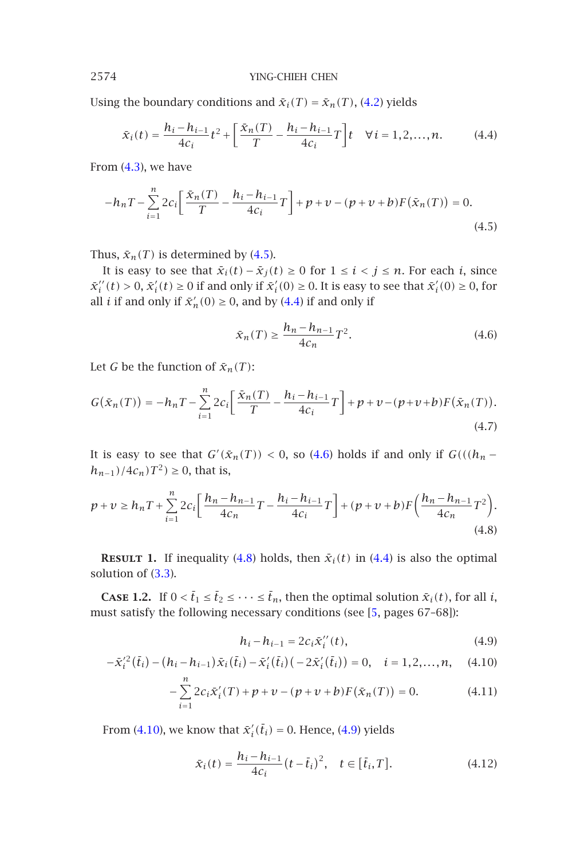Using the boundary conditions and  $\bar{x}_i(T) = \bar{x}_n(T)$ , (4.2) yields

<span id="page-7-1"></span><span id="page-7-0"></span>
$$
\bar{x}_i(t) = \frac{h_i - h_{i-1}}{4c_i} t^2 + \left[ \frac{\bar{x}_n(T)}{T} - \frac{h_i - h_{i-1}}{4c_i} T \right] t \quad \forall i = 1, 2, ..., n. \tag{4.4}
$$

From  $(4.3)$ , we have

$$
-h_n T - \sum_{i=1}^n 2c_i \left[ \frac{\bar{x}_n(T)}{T} - \frac{h_i - h_{i-1}}{4c_i} T \right] + p + \nu - (p + \nu + b)F(\bar{x}_n(T)) = 0.
$$
\n(4.5)

Thus,  $\bar{x}_n(T)$  is determined by (4.5).

It is easy to see that  $\bar{x}_i(t) - \bar{x}_j(t) \ge 0$  for  $1 \le i < j \le n$ . For each *i*, since  $\bar{x}_i''(t) > 0$ ,  $\bar{x}_i'(t) \ge 0$  if and only if  $\bar{x}_i'(0) \ge 0$ . It is easy to see that  $\bar{x}_i'(0) \ge 0$ , for all *i* if and only if  $\bar{x}'_n(0) \ge 0$ , and by (4.4) if and only if

<span id="page-7-3"></span>
$$
\bar{x}_n(T) \ge \frac{h_n - h_{n-1}}{4c_n} T^2.
$$
\n(4.6)

Let *G* be the function of  $\bar{x}_n(T)$ :

$$
G(\bar{x}_n(T)) = -h_n T - \sum_{i=1}^n 2c_i \left[ \frac{\bar{x}_n(T)}{T} - \frac{h_i - h_{i-1}}{4c_i} T \right] + p + \nu - (p + \nu + b) F(\bar{x}_n(T)).
$$
\n(4.7)

<span id="page-7-5"></span>It is easy to see that  $G'(\bar{x}_n(T)) < 0$ , so (4.6) holds if and only if  $G(((h_n$ *h*<sub>*n*−1</sub> $)/4c_n$  $T^2$  $) ≥ 0$ , that is,

$$
p + \nu \ge h_n T + \sum_{i=1}^n 2c_i \bigg[ \frac{h_n - h_{n-1}}{4c_n} T - \frac{h_i - h_{i-1}}{4c_i} T \bigg] + (p + \nu + b) F \bigg( \frac{h_n - h_{n-1}}{4c_n} T^2 \bigg). \tag{4.8}
$$

**RESULT 1.** If inequality (4.8) holds, then  $\bar{x}_i(t)$  in (4.4) is also the optimal solution of (3.3).

**CASE [1.2](#page-7-2).** If  $0 < \bar{t}_1 \leq \bar{t}_2 \leq \cdots \leq \bar{t}_n$ , then the o[ptim](#page-7-3)al solution  $\bar{x}_i(t)$ , for all *i*, must satisfy the following necessary conditions (see [5, pages 67–68]):

<span id="page-7-4"></span><span id="page-7-2"></span>
$$
h_i - h_{i-1} = 2c_i \bar{x}_i''(t),
$$
\n(4.9)

$$
-\bar{x}_i^{\prime 2}(\bar{t}_i) - (h_i - h_{i-1})\bar{x}_i(\bar{t}_i) - \bar{x}_i^{\prime}(\bar{t}_i) (-2\bar{x}_i^{\prime}(\bar{t}_i)) = 0, \quad i = 1, 2, ..., n, \quad (4.10)
$$

$$
-\sum_{i=1}^{n} 2c_i \bar{x}'_i(T) + p + v - (p + v + b)F(\bar{x}_n(T)) = 0.
$$
 (4.11)

From (4.10), we know that  $\bar{x}'_i(\bar{t}_i) = 0$ . Hence, (4.9) yields

$$
\bar{x}_i(t) = \frac{h_i - h_{i-1}}{4c_i} (t - \bar{t}_i)^2, \quad t \in [\bar{t}_i, T].
$$
\n(4.12)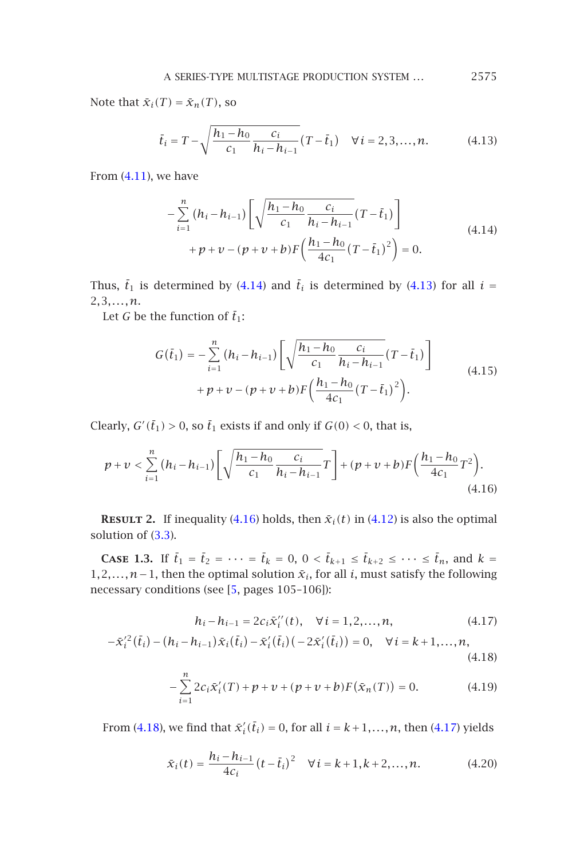<span id="page-8-1"></span><span id="page-8-0"></span>A SERIES-TYPE MULTISTAGE PRODUCTION SYSTEM *...* 2575

Note that  $\bar{x}_i(T) = \bar{x}_n(T)$ , so

$$
\bar{t}_i = T - \sqrt{\frac{h_1 - h_0}{c_1} \frac{c_i}{h_i - h_{i-1}}} (T - \bar{t}_1) \quad \forall i = 2, 3, ..., n.
$$
 (4.13)

From  $(4.11)$ , we have

<span id="page-8-2"></span>
$$
-\sum_{i=1}^{n} (h_i - h_{i-1}) \left[ \sqrt{\frac{h_1 - h_0}{c_1} \frac{c_i}{h_i - h_{i-1}}} (T - \bar{t}_1) \right] + p + v - (p + v + b) F \left( \frac{h_1 - h_0}{4c_1} (T - \bar{t}_1)^2 \right) = 0.
$$
\n(4.14)

Thus,  $\bar{t}_1$  is determined by (4.14) and  $\bar{t}_i$  is determined by (4.13) for all  $i =$ 2*,*3*,...,n*.

Let  $G$  be the function of  $\bar{t}_1$ :

$$
G(\bar{t}_1) = -\sum_{i=1}^{n} (h_i - h_{i-1}) \left[ \sqrt{\frac{h_1 - h_0}{c_1} \frac{c_i}{h_i - h_{i-1}}} (T - \bar{t}_1) \right] + p + v - (p + v + b) F \left( \frac{h_1 - h_0}{4c_1} (T - \bar{t}_1)^2 \right).
$$
\n(4.15)

Clearly,  $G'(\bar{t}_1) > 0$ , so  $\bar{t}_1$  exists if and only if  $G(0) < 0$ , that is,

$$
p + \nu < \sum_{i=1}^{n} (h_i - h_{i-1}) \left[ \sqrt{\frac{h_1 - h_0}{c_1} \frac{c_i}{h_i - h_{i-1}}} T \right] + (p + \nu + b) F\left(\frac{h_1 - h_0}{4c_1} T^2\right). \tag{4.16}
$$

**RESULT 2.** If inequality (4.16) holds, then  $\bar{x}_i(t)$  in (4.12) is also the optimal solution of (3.3).

**Case 1.3.** If  $\bar{t}_1 = \bar{t}_2 = \cdots = \bar{t}_k = 0, 0 < \bar{t}_{k+1} \le \bar{t}_{k+2} \le \cdots \le \bar{t}_n$ , and  $k =$ 1,2,..., *n*−1, then the optimal solution  $\bar{x}_i$ , for all *i*, must satisfy the following necessa[ry con](#page-8-3)ditions (see [5, pages 105–106]):

<span id="page-8-4"></span><span id="page-8-3"></span>
$$
h_i - h_{i-1} = 2c_i \bar{x}_i''(t), \quad \forall i = 1, 2, ..., n,
$$
\n(4.17)

$$
-\bar{x}_i^{\prime 2}(\bar{t}_i) - (h_i - h_{i-1})\bar{x}_i(\bar{t}_i) - \bar{x}_i^{\prime}(\bar{t}_i)(-2\bar{x}_i^{\prime}(\bar{t}_i)) = 0, \quad \forall i = k+1,...,n,
$$
\n(4.18)

$$
-\sum_{i=1}^{n} 2c_i \tilde{x}'_i(T) + p + \nu + (p + \nu + b)F(\tilde{x}_n(T)) = 0.
$$
 (4.19)

From (4.18), we find that  $\bar{x}'_i(\bar{t}_i) = 0$ , for all  $i = k + 1, ..., n$ , then (4.17) yields

$$
\bar{x}_i(t) = \frac{h_i - h_{i-1}}{4c_i} (t - \bar{t}_i)^2 \quad \forall i = k+1, k+2, ..., n.
$$
 (4.20)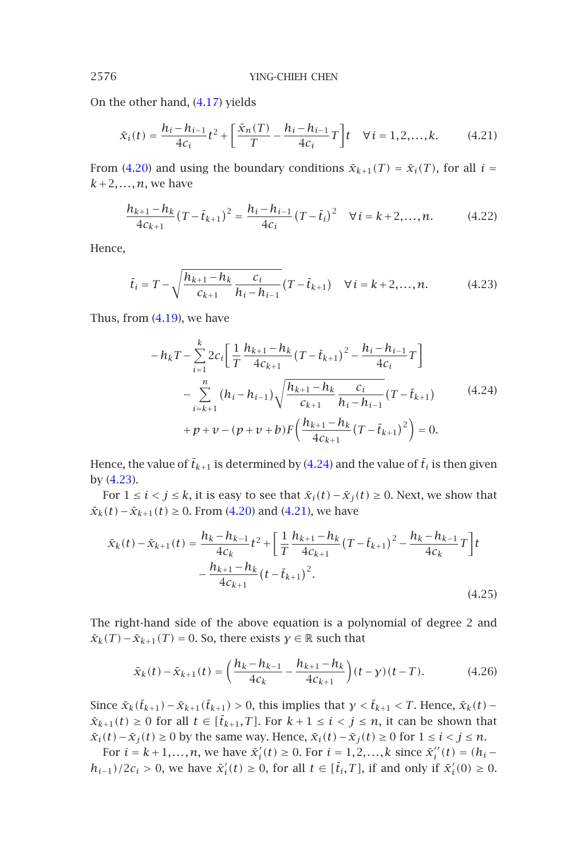<span id="page-9-0"></span>On the other hand, (4.17) yields

$$
\bar{x}_i(t) = \frac{h_i - h_{i-1}}{4c_i} t^2 + \left[ \frac{\bar{x}_n(T)}{T} - \frac{h_i - h_{i-1}}{4c_i} T \right] t \quad \forall i = 1, 2, ..., k. \tag{4.21}
$$

From (4.20) and using the boundary conditions  $\bar{x}_{k+1}(T) = \bar{x}_i(T)$ , for all  $i =$  $k+2,...,n$ , [we ha](#page-8-4)ve

$$
\frac{h_{k+1} - h_k}{4c_{k+1}} (T - \bar{t}_{k+1})^2 = \frac{h_i - h_{i-1}}{4c_i} (T - \bar{t}_i)^2 \quad \forall i = k+2,...,n.
$$
 (4.22)

Hence,

$$
\bar{t}_i = T - \sqrt{\frac{h_{k+1} - h_k}{c_{k+1}}} \frac{c_i}{h_i - h_{i-1}} (T - \bar{t}_{k+1}) \quad \forall \, i = k+2, ..., n. \tag{4.23}
$$

Thus, from  $(4.19)$ , we have

$$
-h_{k}T - \sum_{i=1}^{k} 2c_{i} \left[ \frac{1}{T} \frac{h_{k+1} - h_{k}}{4c_{k+1}} (T - \bar{t}_{k+1})^{2} - \frac{h_{i} - h_{i-1}}{4c_{i}} T \right] - \sum_{i=k+1}^{n} (h_{i} - h_{i-1}) \sqrt{\frac{h_{k+1} - h_{k}}{c_{k+1}} \frac{c_{i}}{h_{i} - h_{i-1}}} (T - \bar{t}_{k+1}) + p + v - (p + v + b) F \left( \frac{h_{k+1} - h_{k}}{4c_{k+1}} (T - \bar{t}_{k+1})^{2} \right) = 0.
$$
 (4.24)

Hence, the value of  $\bar{t}_{k+1}$  is determined by (4.24) and the value of  $\bar{t}_i$  is then given by (4.23).

For  $1 \le i < j \le k$ , it is easy to see that  $\bar{x}_i(t) - \bar{x}_j(t) \ge 0$ . Next, we show that *x*<sub>*k*</sub>(*t*)−*x*<sub>*k*+1</sub>(*t*) ≥ 0. From (4.20) and (4.21), we have

$$
\bar{x}_{k}(t) - \bar{x}_{k+1}(t) = \frac{h_{k} - h_{k-1}}{4c_{k}} t^{2} + \left[ \frac{1}{T} \frac{h_{k+1} - h_{k}}{4c_{k+1}} (T - \bar{t}_{k+1})^{2} - \frac{h_{k} - h_{k-1}}{4c_{k}} T \right] t - \frac{h_{k+1} - h_{k}}{4c_{k+1}} (t - \bar{t}_{k+1})^{2}.
$$
\n(4.25)

The right-hand side of the above equation is a polynomial of degree 2 and  $\bar{x}_k(T) - \bar{x}_{k+1}(T) = 0$ . So, there exists  $\gamma \in \mathbb{R}$  such that

$$
\bar{x}_k(t) - \bar{x}_{k+1}(t) = \left(\frac{h_k - h_{k-1}}{4c_k} - \frac{h_{k+1} - h_k}{4c_{k+1}}\right)(t - \gamma)(t - T). \tag{4.26}
$$

Since  $\bar{x}_k(\bar{t}_{k+1}) - \bar{x}_{k+1}(\bar{t}_{k+1}) > 0$ , this implies that  $\gamma < \bar{t}_{k+1} < T$ . Hence,  $\bar{x}_k(t)$  –  $\bar{x}_{k+1}(t) \geq 0$  for all  $t \in [\bar{t}_{k+1},T]$ . For  $k+1 \leq i < j \leq n$ , it can be shown that *x*<sub>*i*</sub>(*t*) − *x*<sub>*j*</sub>(*t*) ≥ 0 by the same way. Hence,  $\bar{x}_i(t) - \bar{x}_j(t) \ge 0$  for  $1 \le i \le j \le n$ .

For  $i = k + 1, ..., n$ , we have  $\bar{x}'_i(t) \ge 0$ . For  $i = 1, 2, ..., k$  since  $\bar{x}''_i(t) = (h_i$ *h*<sub>*i*−1</sub>)/2*c*<sub>*i*</sub> > 0, we have  $\bar{x}'_i(t) \ge 0$ , for all  $t \in [\bar{t}_i, T]$ , if and only if  $\bar{x}'_i(0) \ge 0$ .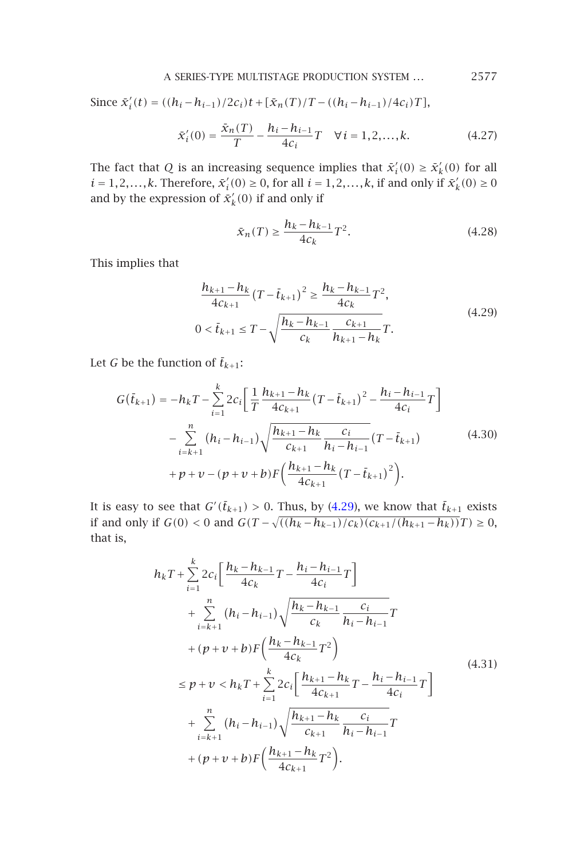A SERIES-TYPE MULTISTAGE PRODUCTION SYSTEM *...* 2577

Since  $\bar{x}'_i(t) = ((h_i - h_{i-1})/2c_i)t + [\bar{x}_n(T)/T - ((h_i - h_{i-1})/4c_i)T]$ ,

$$
\bar{x}'_i(0) = \frac{\bar{x}_n(T)}{T} - \frac{h_i - h_{i-1}}{4c_i}T \quad \forall i = 1, 2, ..., k.
$$
 (4.27)

The fact that *Q* is an increasing sequence implies that  $\bar{x}'_i(0) \geq \bar{x}'_k(0)$  for all  $i = 1, 2, \ldots, k$ . Therefore,  $\bar{x}'_i(0) \ge 0$ , for all  $i = 1, 2, \ldots, k$ , if and only if  $\bar{x}'_k(0) \ge 0$ and by the expression of  $\bar{x}'_k(0)$  if and only if

$$
\bar{x}_n(T) \ge \frac{h_k - h_{k-1}}{4c_k} T^2.
$$
\n(4.28)

This implies that

$$
\frac{h_{k+1} - h_k}{4c_{k+1}} (T - \bar{t}_{k+1})^2 \ge \frac{h_k - h_{k-1}}{4c_k} T^2,
$$
  
0 < \bar{t}\_{k+1} \le T - \sqrt{\frac{h\_k - h\_{k-1}}{c\_k} \frac{c\_{k+1}}{h\_{k+1} - h\_k}} T. (4.29)

Let *G* be the function of  $\bar{t}_{k+1}$ :

$$
G(\bar{t}_{k+1}) = -h_k T - \sum_{i=1}^k 2c_i \left[ \frac{1}{T} \frac{h_{k+1} - h_k}{4c_{k+1}} (T - \bar{t}_{k+1})^2 - \frac{h_i - h_{i-1}}{4c_i} T \right] - \sum_{i=k+1}^n (h_i - h_{i-1}) \sqrt{\frac{h_{k+1} - h_k}{c_{k+1}} \frac{c_i}{h_i - h_{i-1}}} (T - \bar{t}_{k+1}) + p + v - (p + v + b) F \left( \frac{h_{k+1} - h_k}{4c_{k+1}} (T - \bar{t}_{k+1})^2 \right).
$$
 (4.30)

It is easy to see that  $G'(\bar{t}_{k+1}) > 0$ . Thus, by (4.29), we know that  $\bar{t}_{k+1}$  exists if and only if *G*(0) < 0 and *G*(*T* −  $\sqrt{((h_k - h_{k-1})/c_k)(c_{k+1}/(h_{k+1} - h_k))}$ *T*) ≥ 0, that is,

$$
h_{k}T + \sum_{i=1}^{k} 2c_{i} \left[ \frac{h_{k} - h_{k-1}}{4c_{k}} T - \frac{h_{i} - h_{i-1}}{4c_{i}} T \right]
$$
  
+ 
$$
\sum_{i=k+1}^{n} (h_{i} - h_{i-1}) \sqrt{\frac{h_{k} - h_{k-1}}{c_{k}} \frac{c_{i}}{h_{i} - h_{i-1}}} T
$$
  
+ 
$$
(p + v + b) F \left( \frac{h_{k} - h_{k-1}}{4c_{k}} T^{2} \right)
$$
  

$$
\leq p + v < h_{k} T + \sum_{i=1}^{k} 2c_{i} \left[ \frac{h_{k+1} - h_{k}}{4c_{k+1}} T - \frac{h_{i} - h_{i-1}}{4c_{i}} T \right]
$$
  
+ 
$$
\sum_{i=k+1}^{n} (h_{i} - h_{i-1}) \sqrt{\frac{h_{k+1} - h_{k}}{c_{k+1}}} \frac{c_{i}}{h_{i} - h_{i-1}} T
$$
  
+ 
$$
(p + v + b) F \left( \frac{h_{k+1} - h_{k}}{4c_{k+1}} T^{2} \right).
$$
 (4.31)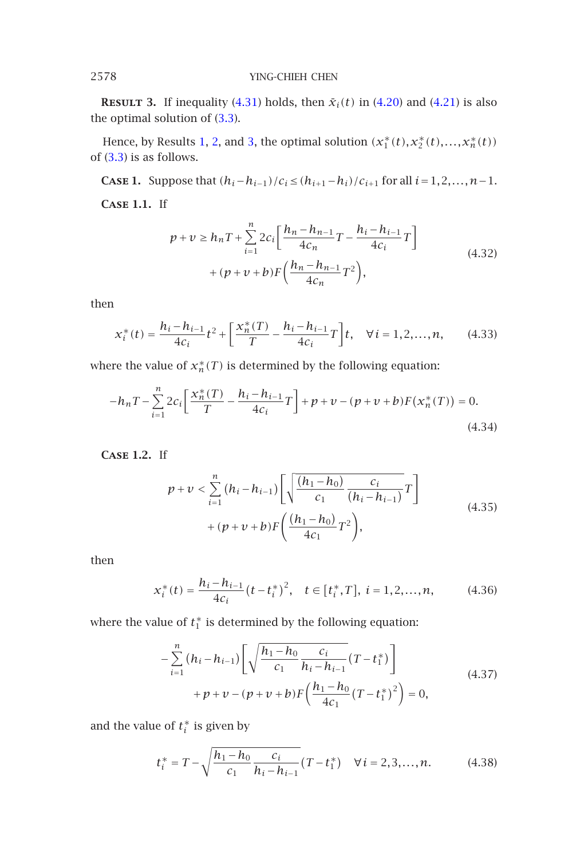**RESULT** 3. If inequality (4.31) holds, then  $\bar{x}_i(t)$  in (4.20) and (4.21) is also the optimal solution of (3.3).

Hence, by Results 1, 2, and 3, the optimal solution  $(x_1^*(t), x_2^*(t),..., x_n^*(t))$ of (3.3) is as follows.

**CASE 1.** Suppose that  $(h_i - h_{i-1})/c_i$  ≤  $(h_{i+1} - h_i)/c_{i+1}$  for all  $i = 1, 2, ..., n-1$ . **Case 1.1.** If

$$
p + v \ge h_n T + \sum_{i=1}^n 2c_i \left[ \frac{h_n - h_{n-1}}{4c_n} T - \frac{h_i - h_{i-1}}{4c_i} T \right] + (p + v + b) F \left( \frac{h_n - h_{n-1}}{4c_n} T^2 \right),
$$
\n(4.32)

then

$$
x_i^*(t) = \frac{h_i - h_{i-1}}{4c_i} t^2 + \left[ \frac{x_n^*(T)}{T} - \frac{h_i - h_{i-1}}{4c_i} T \right] t, \quad \forall i = 1, 2, ..., n,
$$
 (4.33)

where the value of  $x_n^*(T)$  is determined by the following equation:

$$
-h_n T - \sum_{i=1}^n 2c_i \left[ \frac{x_n^*(T)}{T} - \frac{h_i - h_{i-1}}{4c_i} T \right] + p + \nu - (p + \nu + b)F(x_n^*(T)) = 0.
$$
\n(4.34)

**Case 1.2.** If

$$
p + v < \sum_{i=1}^{n} (h_i - h_{i-1}) \left[ \sqrt{\frac{(h_1 - h_0)}{c_1} \frac{c_i}{(h_i - h_{i-1})}} T \right] + (p + v + b) F \left( \frac{(h_1 - h_0)}{4c_1} T^2 \right),
$$
\n(4.35)

then

$$
x_i^*(t) = \frac{h_i - h_{i-1}}{4c_i} (t - t_i^*)^2, \quad t \in [t_i^*, T], \ i = 1, 2, \dots, n,
$$
 (4.36)

where the value of  $t_1^*$  is determined by the following equation:

$$
-\sum_{i=1}^{n} (h_i - h_{i-1}) \left[ \sqrt{\frac{h_1 - h_0}{c_1} \frac{c_i}{h_i - h_{i-1}}} (T - t_1^*) \right] + p + v - (p + v + b) F \left( \frac{h_1 - h_0}{4c_1} (T - t_1^*)^2 \right) = 0,
$$
\n(4.37)

and the value of  $t_i^*$  is given by

$$
t_i^* = T - \sqrt{\frac{h_1 - h_0}{c_1} \frac{c_i}{h_i - h_{i-1}}} (T - t_1^*) \quad \forall i = 2, 3, ..., n.
$$
 (4.38)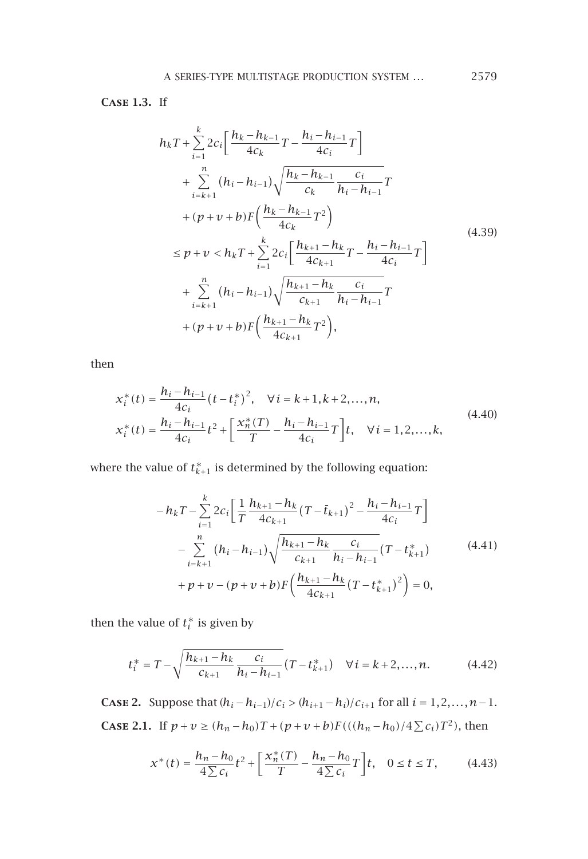**Case 1.3.** If

$$
h_{k}T + \sum_{i=1}^{k} 2c_{i} \left[ \frac{h_{k} - h_{k-1}}{4c_{k}} T - \frac{h_{i} - h_{i-1}}{4c_{i}} T \right]
$$
  
+ 
$$
\sum_{i=k+1}^{n} (h_{i} - h_{i-1}) \sqrt{\frac{h_{k} - h_{k-1}}{c_{k}} \frac{c_{i}}{h_{i} - h_{i-1}}} T
$$
  
+ 
$$
(p + v + b) F \left( \frac{h_{k} - h_{k-1}}{4c_{k}} T^{2} \right)
$$
  

$$
\leq p + v < h_{k} T + \sum_{i=1}^{k} 2c_{i} \left[ \frac{h_{k+1} - h_{k}}{4c_{k+1}} T - \frac{h_{i} - h_{i-1}}{4c_{i}} T \right]
$$
  
+ 
$$
\sum_{i=k+1}^{n} (h_{i} - h_{i-1}) \sqrt{\frac{h_{k+1} - h_{k}}{c_{k+1}}} \frac{c_{i}}{h_{i} - h_{i-1}} T
$$
  
+ 
$$
(p + v + b) F \left( \frac{h_{k+1} - h_{k}}{4c_{k+1}} T^{2} \right),
$$
 (4.39)

then

$$
\begin{aligned}\nx_i^*(t) &= \frac{h_i - h_{i-1}}{4c_i} \left(t - t_i^*\right)^2, \quad \forall \, i = k+1, k+2, \dots, n, \\
x_i^*(t) &= \frac{h_i - h_{i-1}}{4c_i} t^2 + \left[\frac{x_n^*(T)}{T} - \frac{h_i - h_{i-1}}{4c_i} T\right] t, \quad \forall \, i = 1, 2, \dots, k,\n\end{aligned} \tag{4.40}
$$

where the value of  $t_{k+1}^*$  is determined by the following equation:

$$
-h_{k}T - \sum_{i=1}^{k} 2c_{i} \left[ \frac{1}{T} \frac{h_{k+1} - h_{k}}{4c_{k+1}} (T - \bar{t}_{k+1})^{2} - \frac{h_{i} - h_{i-1}}{4c_{i}} T \right] - \sum_{i=k+1}^{n} (h_{i} - h_{i-1}) \sqrt{\frac{h_{k+1} - h_{k}}{c_{k+1}}} \frac{c_{i}}{h_{i} - h_{i-1}} (T - t_{k+1}^{*}) + p + v - (p + v + b) F \left( \frac{h_{k+1} - h_{k}}{4c_{k+1}} (T - t_{k+1}^{*})^{2} \right) = 0,
$$
\n(4.41)

then the value of  $t_i^*$  is given by

$$
t_i^* = T - \sqrt{\frac{h_{k+1} - h_k}{c_{k+1}} \frac{c_i}{h_i - h_{i-1}}} (T - t_{k+1}^*) \quad \forall i = k+2,...,n.
$$
 (4.42)

<span id="page-12-0"></span>**CASE 2.** Suppose that  $(h_i - h_{i-1})/c_i > (h_{i+1} - h_i)/c_{i+1}$  for all  $i = 1, 2, ..., n-1$ . **CASE 2.1.** If *p* + *v* ≥  $(h_n - h_0)T + (p + v + b)F(((h_n - h_0)/4 \Sigma c_i)T^2)$ , then

$$
x^*(t) = \frac{h_n - h_0}{4\sum c_i} t^2 + \left[\frac{x_n^*(T)}{T} - \frac{h_n - h_0}{4\sum c_i} T\right] t, \quad 0 \le t \le T,
$$
 (4.43)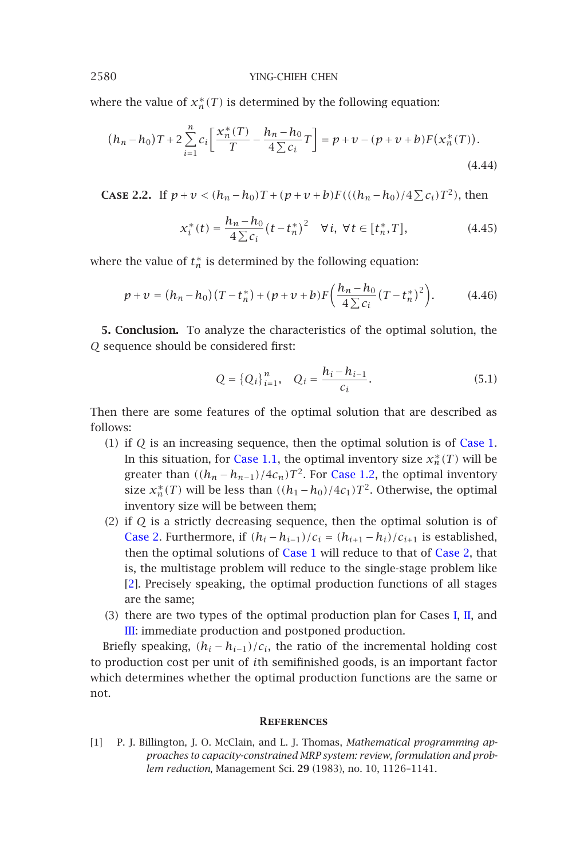where the value of  $x_n^*(T)$  is determined by the following equation:

$$
(h_n - h_0)T + 2\sum_{i=1}^n c_i \left[ \frac{x_n^*(T)}{T} - \frac{h_n - h_0}{4\sum c_i} T \right] = p + v - (p + v + b)F(x_n^*(T)).
$$
\n(4.44)

**CASE 2.2.** If  $p + v < (h_n - h_0)T + (p + v + b)F(((h_n - h_0)/4 \sum c_i)T^2)$ , then

$$
x_i^*(t) = \frac{h_n - h_0}{4 \sum c_i} (t - t_n^*)^2 \quad \forall i, \ \forall t \in [t_n^*, T], \tag{4.45}
$$

where the value of  $t_n^*$  is determined by the following equation:

$$
p + \nu = (h_n - h_0)(T - t_n^*) + (p + \nu + b)F\left(\frac{h_n - h_0}{4\sum c_i}(T - t_n^*)^2\right).
$$
 (4.46)

**5. Conclusion.** To anal[yze](#page-6-2) [the](#page-6-2) [ch](#page-6-2)aracteris[tics of the](#page-7-5) optimal solution, the *Q* sequence should be considered first:

$$
Q = \{Q_i\}_{i=1}^n, \quad Q_i = \frac{h_i - h_{i-1}}{c_i}.
$$
\n(5.1)

Then there are some features of th[e optim](#page-6-3)al solution that are [describe](#page-12-0)d as follows:

- (1) [if](#page-14-3) *Q* is an increasing sequence, then the optimal solution is of Case 1. In this situation, for Case 1.1, the optimal inventory size  $x_n^*(T)$  will be greater tha[n](#page-4-1)  $((h_n - h_{n-1})/4c_n)T^2$ . For Case 1.2, the optimal in[ven](#page-4-2)tory [siz](#page-5-0)e  $x_n^*(T)$  will be less than  $((h_1 - h_0)/4c_1)T^2$ . Otherwise, the optimal inventory size will be between them;
- (2) if *Q* is a strictly decreasing sequence, then the optimal solution is of Case 2. Furthermore, if  $(h_i - h_{i-1})/c_i = (h_{i+1} - h_i)/c_{i+1}$  is established, then the optimal solutions of Case 1 will reduce to that of Case 2, that is, the multistage problem will reduce to the single-stage problem like [2]. Precisely speaking, the optimal production functions of all stages are the same;
- (3) there are two types of the optimal production plan for Cases I, II, and III: immediate production and postponed production.

<span id="page-13-0"></span>Briefly speaking,  $(h_i - h_{i-1})/c_i$ , the ratio of the incremental holding cost to production cost per unit of *i*th semifinished goods, is an important factor which determines whether the optimal production functions are the same or not.

## **References**

[1] P. J. Billington, J. O. McClain, and L. J. Thomas, *Mathematical programming approaches to capacity-constrained MRP system: review, formulation and problem reduction*, Management Sci. **29** (1983), no. 10, 1126–1141.